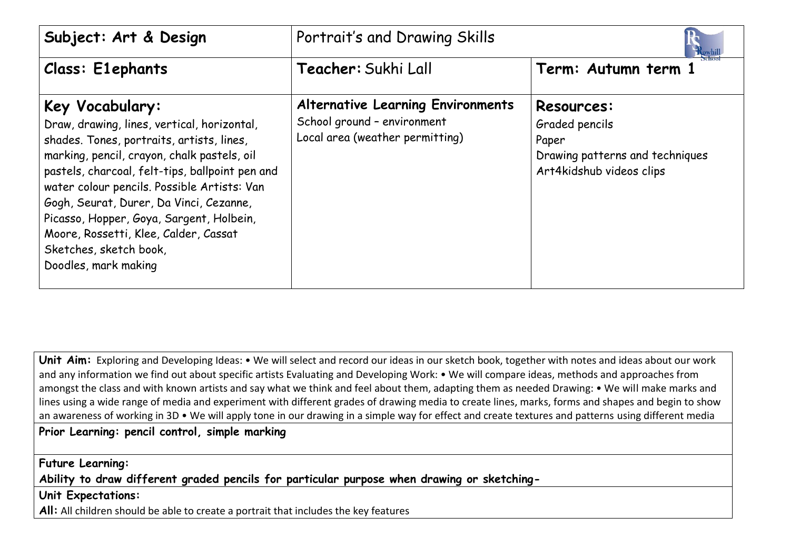| Subject: Art & Design                                                                                                                                                                                                                                                                                                                                                                                                                          | Portrait's and Drawing Skills                                                                              |                                                                                                             |
|------------------------------------------------------------------------------------------------------------------------------------------------------------------------------------------------------------------------------------------------------------------------------------------------------------------------------------------------------------------------------------------------------------------------------------------------|------------------------------------------------------------------------------------------------------------|-------------------------------------------------------------------------------------------------------------|
| <b>Class: E1ephants</b>                                                                                                                                                                                                                                                                                                                                                                                                                        | Teacher: Sukhi Lall                                                                                        | Term: Autumn term 1                                                                                         |
| Key Vocabulary:<br>Draw, drawing, lines, vertical, horizontal,<br>shades. Tones, portraits, artists, lines,<br>marking, pencil, crayon, chalk pastels, oil<br>pastels, charcoal, felt-tips, ballpoint pen and<br>water colour pencils. Possible Artists: Van<br>Gogh, Seurat, Durer, Da Vinci, Cezanne,<br>Picasso, Hopper, Goya, Sargent, Holbein,<br>Moore, Rossetti, Klee, Calder, Cassat<br>Sketches, sketch book,<br>Doodles, mark making | <b>Alternative Learning Environments</b><br>School ground - environment<br>Local area (weather permitting) | <b>Resources:</b><br>Graded pencils<br>Paper<br>Drawing patterns and techniques<br>Art4kidshub videos clips |

Unit Aim: Exploring and Developing Ideas: • We will select and record our ideas in our sketch book, together with notes and ideas about our work and any information we find out about specific artists Evaluating and Developing Work: • We will compare ideas, methods and approaches from amongst the class and with known artists and say what we think and feel about them, adapting them as needed Drawing: • We will make marks and lines using a wide range of media and experiment with different grades of drawing media to create lines, marks, forms and shapes and begin to show an awareness of working in 3D • We will apply tone in our drawing in a simple way for effect and create textures and patterns using different media

## **Prior Learning: pencil control, simple marking**

**Future Learning:** 

**Ability to draw different graded pencils for particular purpose when drawing or sketching-**

**Unit Expectations:** 

All: All children should be able to create a portrait that includes the key features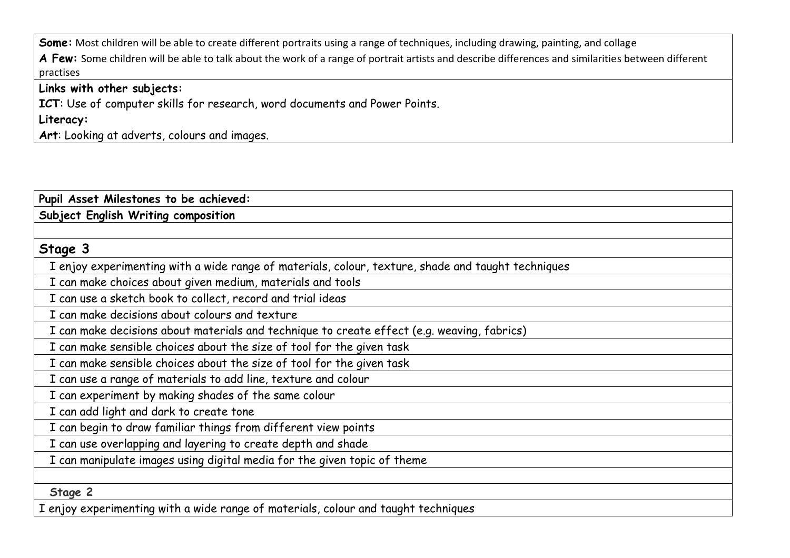**Some:** Most children will be able to create different portraits using a range of techniques, including drawing, painting, and collage

A Few: Some children will be able to talk about the work of a range of portrait artists and describe differences and similarities between different practises

## **Links with other subjects:**

**ICT**: Use of computer skills for research, word documents and Power Points.

**Literacy:**

**Art**: Looking at adverts, colours and images.

| Pupil Asset Milestones to be achieved:                                                             |
|----------------------------------------------------------------------------------------------------|
| Subject English Writing composition                                                                |
|                                                                                                    |
| Stage 3                                                                                            |
| I enjoy experimenting with a wide range of materials, colour, texture, shade and taught techniques |
| I can make choices about given medium, materials and tools                                         |
| I can use a sketch book to collect, record and trial ideas                                         |
| I can make decisions about colours and texture                                                     |
| I can make decisions about materials and technique to create effect (e.g. weaving, fabrics)        |
| I can make sensible choices about the size of tool for the given task                              |
| I can make sensible choices about the size of tool for the given task                              |
| I can use a range of materials to add line, texture and colour                                     |
| I can experiment by making shades of the same colour                                               |
| I can add light and dark to create tone                                                            |
| I can begin to draw familiar things from different view points                                     |
| I can use overlapping and layering to create depth and shade                                       |
| I can manipulate images using digital media for the given topic of theme                           |
|                                                                                                    |
| Stage 2                                                                                            |
| I enjoy experimenting with a wide range of materials, colour and taught techniques                 |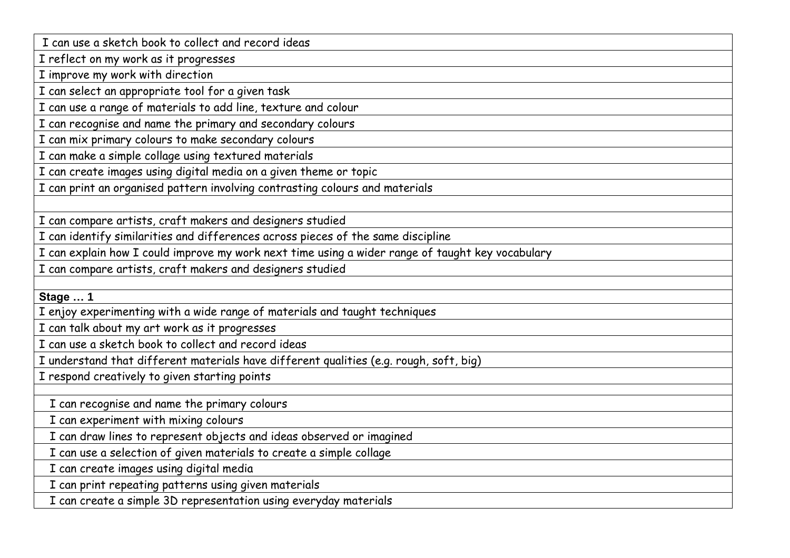I can use a sketch book to collect and record ideas

I reflect on my work as it progresses

I improve my work with direction

I can select an appropriate tool for a given task

I can use a range of materials to add line, texture and colour

I can recognise and name the primary and secondary colours

I can mix primary colours to make secondary colours

I can make a simple collage using textured materials

I can create images using digital media on a given theme or topic

I can print an organised pattern involving contrasting colours and materials

I can compare artists, craft makers and designers studied

I can identify similarities and differences across pieces of the same discipline

I can explain how I could improve my work next time using a wider range of taught key vocabulary

I can compare artists, craft makers and designers studied

**Stage … 1**

I enjoy experimenting with a wide range of materials and taught techniques

I can talk about my art work as it progresses

I can use a sketch book to collect and record ideas

I understand that different materials have different qualities (e.g. rough, soft, big)

I respond creatively to given starting points

I can recognise and name the primary colours

I can experiment with mixing colours

I can draw lines to represent objects and ideas observed or imagined

I can use a selection of given materials to create a simple collage

I can create images using digital media

I can print repeating patterns using given materials

I can create a simple 3D representation using everyday materials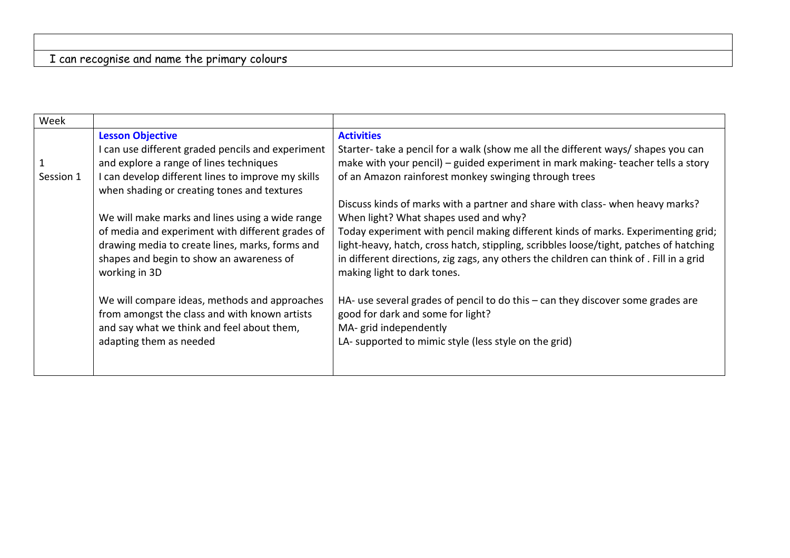## I can recognise and name the primary colours

| Week         |                                                                                                              |                                                                                                                                                                                                                   |
|--------------|--------------------------------------------------------------------------------------------------------------|-------------------------------------------------------------------------------------------------------------------------------------------------------------------------------------------------------------------|
|              | <b>Lesson Objective</b>                                                                                      | <b>Activities</b>                                                                                                                                                                                                 |
|              | can use different graded pencils and experiment                                                              | Starter- take a pencil for a walk (show me all the different ways/ shapes you can                                                                                                                                 |
| $\mathbf{1}$ | and explore a range of lines techniques                                                                      | make with your pencil) - guided experiment in mark making-teacher tells a story                                                                                                                                   |
| Session 1    | can develop different lines to improve my skills<br>when shading or creating tones and textures              | of an Amazon rainforest monkey swinging through trees                                                                                                                                                             |
|              |                                                                                                              | Discuss kinds of marks with a partner and share with class- when heavy marks?                                                                                                                                     |
|              | We will make marks and lines using a wide range                                                              | When light? What shapes used and why?                                                                                                                                                                             |
|              | of media and experiment with different grades of                                                             | Today experiment with pencil making different kinds of marks. Experimenting grid;                                                                                                                                 |
|              | drawing media to create lines, marks, forms and<br>shapes and begin to show an awareness of<br>working in 3D | light-heavy, hatch, cross hatch, stippling, scribbles loose/tight, patches of hatching<br>in different directions, zig zags, any others the children can think of . Fill in a grid<br>making light to dark tones. |
|              | We will compare ideas, methods and approaches<br>from amongst the class and with known artists               | HA- use several grades of pencil to do this - can they discover some grades are<br>good for dark and some for light?                                                                                              |
|              | and say what we think and feel about them,                                                                   | MA- grid independently                                                                                                                                                                                            |
|              | adapting them as needed                                                                                      | LA- supported to mimic style (less style on the grid)                                                                                                                                                             |
|              |                                                                                                              |                                                                                                                                                                                                                   |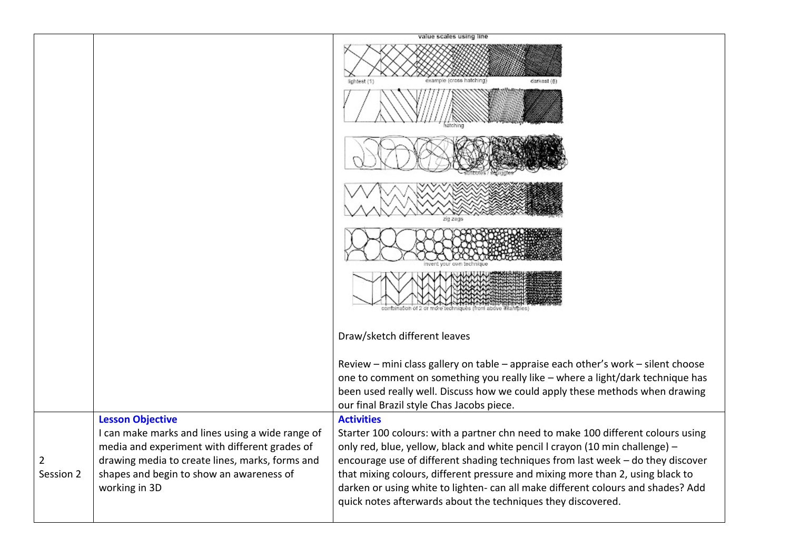|                |                                                                                                                                                                                                                                              | value scales using line                                                                                                                                                                                                                                                                                                                                                                                                                                                                                        |
|----------------|----------------------------------------------------------------------------------------------------------------------------------------------------------------------------------------------------------------------------------------------|----------------------------------------------------------------------------------------------------------------------------------------------------------------------------------------------------------------------------------------------------------------------------------------------------------------------------------------------------------------------------------------------------------------------------------------------------------------------------------------------------------------|
|                |                                                                                                                                                                                                                                              | example (cross hatching)<br>darkest (6)<br>ichtest (1                                                                                                                                                                                                                                                                                                                                                                                                                                                          |
|                |                                                                                                                                                                                                                                              |                                                                                                                                                                                                                                                                                                                                                                                                                                                                                                                |
|                |                                                                                                                                                                                                                                              |                                                                                                                                                                                                                                                                                                                                                                                                                                                                                                                |
|                |                                                                                                                                                                                                                                              |                                                                                                                                                                                                                                                                                                                                                                                                                                                                                                                |
|                |                                                                                                                                                                                                                                              | combination of 2 or more techniques (from above exalt                                                                                                                                                                                                                                                                                                                                                                                                                                                          |
|                |                                                                                                                                                                                                                                              | Draw/sketch different leaves                                                                                                                                                                                                                                                                                                                                                                                                                                                                                   |
|                |                                                                                                                                                                                                                                              | Review - mini class gallery on table - appraise each other's work - silent choose<br>one to comment on something you really like - where a light/dark technique has<br>been used really well. Discuss how we could apply these methods when drawing<br>our final Brazil style Chas Jacobs piece.                                                                                                                                                                                                               |
| 2<br>Session 2 | <b>Lesson Objective</b><br>I can make marks and lines using a wide range of<br>media and experiment with different grades of<br>drawing media to create lines, marks, forms and<br>shapes and begin to show an awareness of<br>working in 3D | <b>Activities</b><br>Starter 100 colours: with a partner chn need to make 100 different colours using<br>only red, blue, yellow, black and white pencil I crayon (10 min challenge) -<br>encourage use of different shading techniques from last week - do they discover<br>that mixing colours, different pressure and mixing more than 2, using black to<br>darken or using white to lighten- can all make different colours and shades? Add<br>quick notes afterwards about the techniques they discovered. |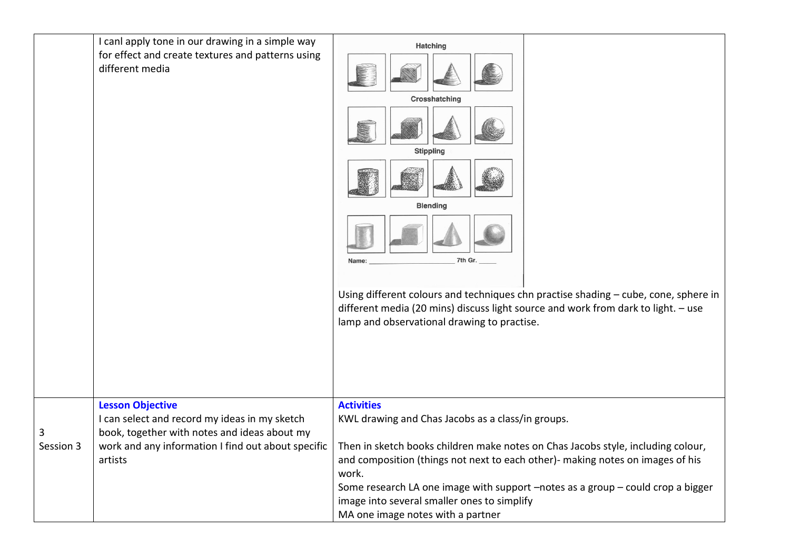|                | I canl apply tone in our drawing in a simple way<br>for effect and create textures and patterns using<br>different media                                                                  | <b>Hatching</b><br>Crosshatching<br><b>Stippling</b><br><b>Blending</b><br>7th Gr.<br>Name:<br>different media (20 mins) discuss light source and work from dark to light. - use<br>lamp and observational drawing to practise.                                                                                                           | Using different colours and techniques chn practise shading - cube, cone, sphere in |
|----------------|-------------------------------------------------------------------------------------------------------------------------------------------------------------------------------------------|-------------------------------------------------------------------------------------------------------------------------------------------------------------------------------------------------------------------------------------------------------------------------------------------------------------------------------------------|-------------------------------------------------------------------------------------|
| 3<br>Session 3 | <b>Lesson Objective</b><br>I can select and record my ideas in my sketch<br>book, together with notes and ideas about my<br>work and any information I find out about specific<br>artists | <b>Activities</b><br>KWL drawing and Chas Jacobs as a class/in groups.<br>Then in sketch books children make notes on Chas Jacobs style, including colour,<br>and composition (things not next to each other)- making notes on images of his<br>work.<br>image into several smaller ones to simplify<br>MA one image notes with a partner | Some research LA one image with support -notes as a group - could crop a bigger     |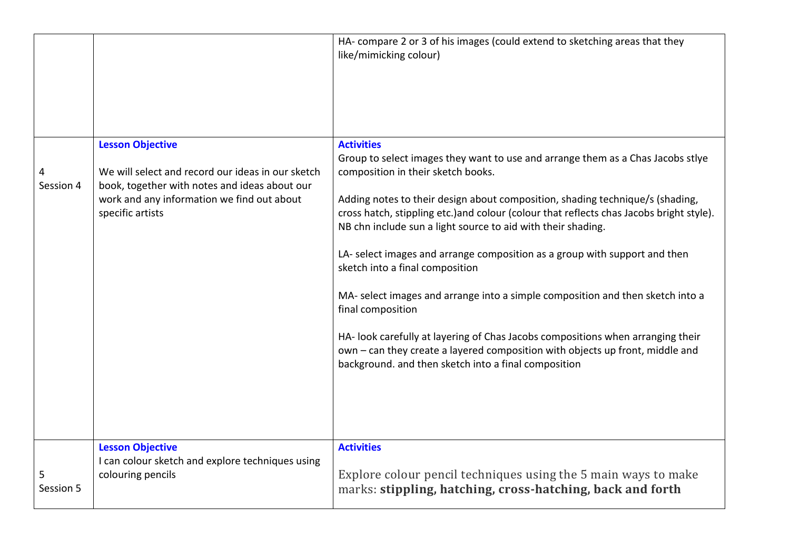|                |                                                                                                                                                                                                 | HA- compare 2 or 3 of his images (could extend to sketching areas that they<br>like/mimicking colour)                                                                                                                                                                                                                                                                                                                                                                                                                                                                                                                                                                                                                                                                                                                                       |
|----------------|-------------------------------------------------------------------------------------------------------------------------------------------------------------------------------------------------|---------------------------------------------------------------------------------------------------------------------------------------------------------------------------------------------------------------------------------------------------------------------------------------------------------------------------------------------------------------------------------------------------------------------------------------------------------------------------------------------------------------------------------------------------------------------------------------------------------------------------------------------------------------------------------------------------------------------------------------------------------------------------------------------------------------------------------------------|
| Session 4      | <b>Lesson Objective</b><br>We will select and record our ideas in our sketch<br>book, together with notes and ideas about our<br>work and any information we find out about<br>specific artists | <b>Activities</b><br>Group to select images they want to use and arrange them as a Chas Jacobs stlye<br>composition in their sketch books.<br>Adding notes to their design about composition, shading technique/s (shading,<br>cross hatch, stippling etc.) and colour (colour that reflects chas Jacobs bright style).<br>NB chn include sun a light source to aid with their shading.<br>LA- select images and arrange composition as a group with support and then<br>sketch into a final composition<br>MA- select images and arrange into a simple composition and then sketch into a<br>final composition<br>HA- look carefully at layering of Chas Jacobs compositions when arranging their<br>own - can they create a layered composition with objects up front, middle and<br>background. and then sketch into a final composition |
| 5<br>Session 5 | <b>Lesson Objective</b><br>I can colour sketch and explore techniques using<br>colouring pencils                                                                                                | <b>Activities</b><br>Explore colour pencil techniques using the 5 main ways to make<br>marks: stippling, hatching, cross-hatching, back and forth                                                                                                                                                                                                                                                                                                                                                                                                                                                                                                                                                                                                                                                                                           |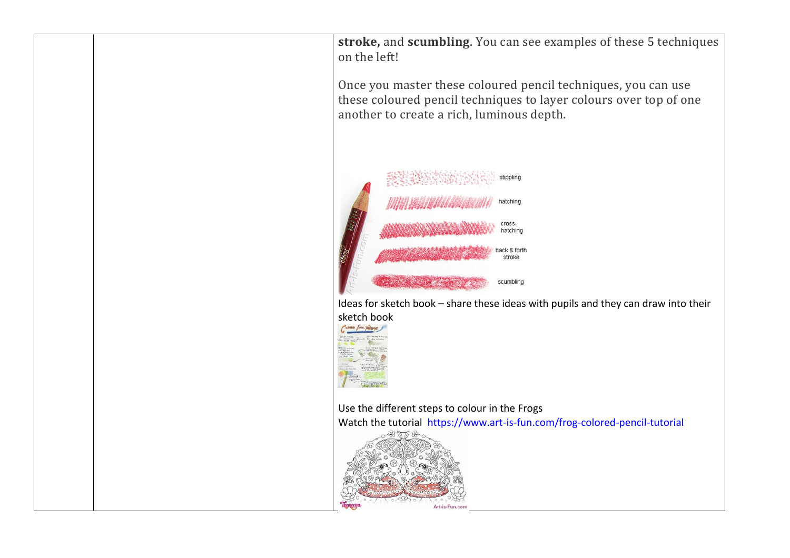**stroke,** and **scumbling**. You can see examples of these 5 techniques on the left!

Once you master these coloured pencil techniques, you can use these coloured pencil techniques to layer colours over top of one another to create a rich, luminous depth.



Ideas for sketch book – share these ideas with pupils and they can draw into their sketch book



Use the different steps to colour in the Frogs Watch the tutorial https://www.art-is-fun.com/frog-colored-pencil-tutorial

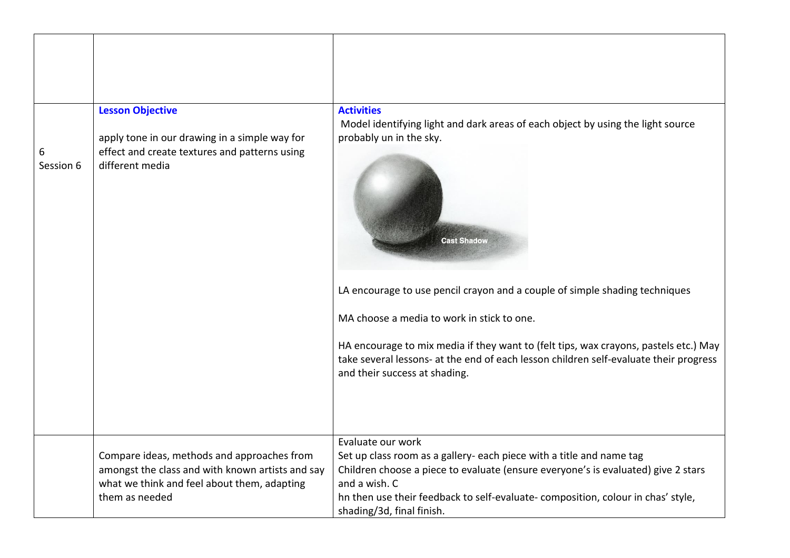|                | <b>Lesson Objective</b>                                                                                           | <b>Activities</b>                                                                                                                                                                                              |
|----------------|-------------------------------------------------------------------------------------------------------------------|----------------------------------------------------------------------------------------------------------------------------------------------------------------------------------------------------------------|
| 6<br>Session 6 | apply tone in our drawing in a simple way for<br>effect and create textures and patterns using<br>different media | Model identifying light and dark areas of each object by using the light source<br>probably un in the sky.<br><b>Cast Shadow</b>                                                                               |
|                |                                                                                                                   | LA encourage to use pencil crayon and a couple of simple shading techniques<br>MA choose a media to work in stick to one.                                                                                      |
|                |                                                                                                                   |                                                                                                                                                                                                                |
|                |                                                                                                                   | HA encourage to mix media if they want to (felt tips, wax crayons, pastels etc.) May<br>take several lessons- at the end of each lesson children self-evaluate their progress<br>and their success at shading. |
|                |                                                                                                                   | Evaluate our work                                                                                                                                                                                              |
|                | Compare ideas, methods and approaches from                                                                        | Set up class room as a gallery- each piece with a title and name tag                                                                                                                                           |
|                | amongst the class and with known artists and say<br>what we think and feel about them, adapting                   | Children choose a piece to evaluate (ensure everyone's is evaluated) give 2 stars<br>and a wish. C                                                                                                             |
|                | them as needed                                                                                                    | hn then use their feedback to self-evaluate- composition, colour in chas' style,<br>shading/3d, final finish.                                                                                                  |